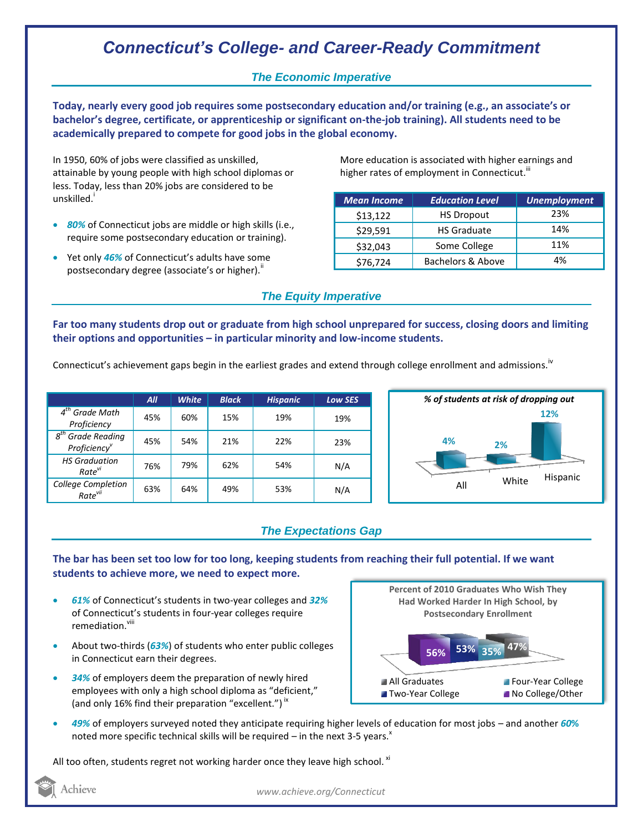# *Connecticut's College- and Career-Ready Commitment*

### *The Economic Imperative*

**Today, nearly every good job requires some postsecondary education and/or training (e.g., an associate's or bachelor's degree, certificate, or apprenticeship or significant on-the-job training). All students need to be academically prepared to compete for good jobs in the global economy.**

In 1950, 60% of jobs were classified as unskilled, attainable by young people with high school diplomas or less. Today, less than 20% jobs are considered to be unskilled.<sup>i</sup>

- *80%* of Connecticut jobs are middle or high skills (i.e., require some postsecondary education or training).
- Yet only 46% of Connecticut's adults have some postsecondary degree (associate's or higher)."

More education is associated with higher earnings and higher rates of employment in Connecticut. $^{\text{\text{III}}}$ 

| <b>Mean Income</b> | <b>Education Level</b> | <b>Unemployment</b> |
|--------------------|------------------------|---------------------|
| \$13,122           | <b>HS Dropout</b>      | 23%                 |
| \$29,591           | <b>HS Graduate</b>     | 14%                 |
| \$32,043           | Some College           | 11%                 |
| \$76,724           | Bachelors & Above      | 4%                  |

#### *The Equity Imperative*

**Far too many students drop out or graduate from high school unprepared for success, closing doors and limiting their options and opportunities – in particular minority and low-income students.** 

Connecticut's achievement gaps begin in the earliest grades and extend through college enrollment and admissions.<sup>iv</sup>

|                                                              | All | <b>White</b> | <b>Black</b> | <b>Hispanic</b> | <b>Low SES</b> |
|--------------------------------------------------------------|-----|--------------|--------------|-----------------|----------------|
| $4th$ Grade Math<br>Proficiency                              | 45% | 60%          | 15%          | 19%             | 19%            |
| $g^{th}$<br><b>Grade Reading</b><br>Proficiency <sup>v</sup> | 45% | 54%          | 21%          | 22%             | 23%            |
| <b>HS Graduation</b><br>Rate <sup>vi</sup>                   | 76% | 79%          | 62%          | 54%             | N/A            |
| <b>College Completion</b><br>Rate <sup>vii</sup>             | 63% | 64%          | 49%          | 53%             | N/A            |



### *The Expectations Gap*

#### **The bar has been set too low for too long, keeping students from reaching their full potential. If we want students to achieve more, we need to expect more.**

- *61%* of Connecticut's students in two-year colleges and *32%* of Connecticut's students in four-year colleges require remediation.<sup>viii</sup>
- About two-thirds (*63%*) of students who enter public colleges in Connecticut earn their degrees.
- *34%* of employers deem the preparation of newly hired employees with only a high school diploma as "deficient," (and only 16% find their preparation "excellent.")<sup>ix</sup>



 *49%* of employers surveyed noted they anticipate requiring higher levels of education for most jobs – and another *60***%** noted more specific technical skills will be required – in the next 3-5 years. $^x$ 

All too often, students regret not working harder once they leave high school.  $^{xi}$ 

Achieve

*www.achieve.org/Connecticut*